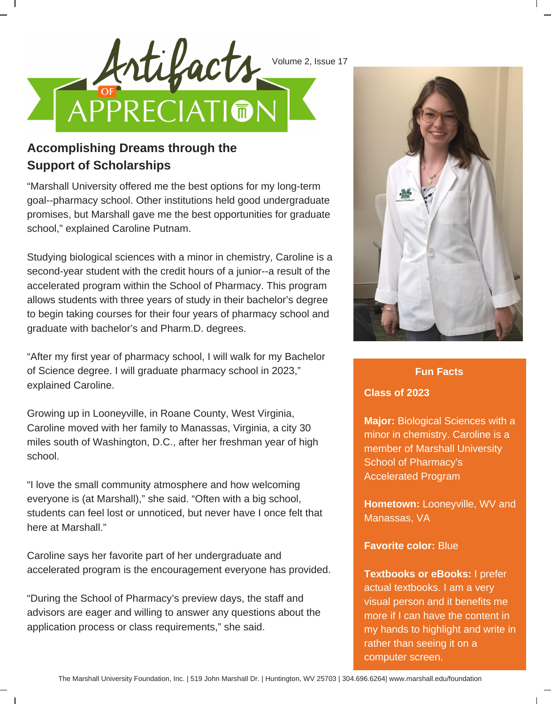



# **Support of Scholarships**

"Marshall University offered me the best options for my long-term goal--pharmacy school. Other institutions held good undergraduate promises, but Marshall gave me the best opportunities for graduate school," explained Caroline Putnam.

Studying biological sciences with a minor in chemistry, Caroline is a second-year student with the credit hours of a junior--a result of the accelerated program within the School of Pharmacy. This program allows students with three years of study in their bachelor's degree to begin taking courses for their four years of pharmacy school and graduate with bachelor's and Pharm.D. degrees.

"After my first year of pharmacy school, I will walk for my Bachelor of Science degree. I will graduate pharmacy school in 2023," explained Caroline.

Growing up in Looneyville, in Roane County, West Virginia, Caroline moved with her family to Manassas, Virginia, a city 30 miles south of Washington, D.C., after her freshman year of high school.

"I love the small community atmosphere and how welcoming everyone is (at Marshall)," she said. "Often with a big school, students can feel lost or unnoticed, but never have I once felt that here at Marshall."

Caroline says her favorite part of her undergraduate and accelerated program is the encouragement everyone has provided.

"During the School of Pharmacy's preview days, the staff and advisors are eager and willing to answer any questions about the application process or class requirements," she said.



### **Fun Facts**

## **Class of 2023**

**Major:** Biological Sciences with a minor in chemistry. Caroline is a member of Marshall University School of Pharmacy's Accelerated Program

**Hometown:** Looneyville, WV and Manassas, VA

### **Favorite color:** Blue

**Textbooks or eBooks:** I prefer actual textbooks. I am a very visual person and it benefits me more if I can have the content in my hands to highlight and write in rather than seeing it on a computer screen.